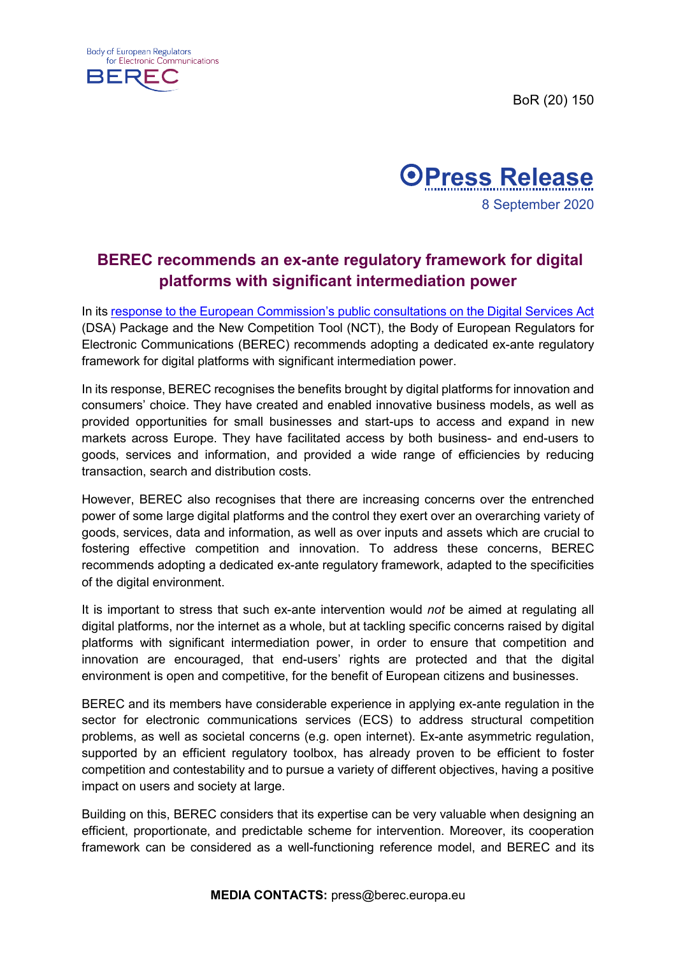BoR (20) 150





## **BEREC recommends an ex-ante regulatory framework for digital platforms with significant intermediation power**

In its response [to the European Commission's public consultations on the Digital Services Act](https://berec.europa.eu/eng/document_register/subject_matter/berec/others/9411-berec-response-to-the-public-consultation-on-the-digital-services-act-package-and-the-new-competition-tool) (DSA) Package and the New Competition Tool (NCT), the Body of European Regulators for Electronic Communications (BEREC) recommends adopting a dedicated ex-ante regulatory framework for digital platforms with significant intermediation power.

In its response, BEREC recognises the benefits brought by digital platforms for innovation and consumers' choice. They have created and enabled innovative business models, as well as provided opportunities for small businesses and start-ups to access and expand in new markets across Europe. They have facilitated access by both business- and end-users to goods, services and information, and provided a wide range of efficiencies by reducing transaction, search and distribution costs.

However, BEREC also recognises that there are increasing concerns over the entrenched power of some large digital platforms and the control they exert over an overarching variety of goods, services, data and information, as well as over inputs and assets which are crucial to fostering effective competition and innovation. To address these concerns, BEREC recommends adopting a dedicated ex-ante regulatory framework, adapted to the specificities of the digital environment.

It is important to stress that such ex-ante intervention would *not* be aimed at regulating all digital platforms, nor the internet as a whole, but at tackling specific concerns raised by digital platforms with significant intermediation power, in order to ensure that competition and innovation are encouraged, that end-users' rights are protected and that the digital environment is open and competitive, for the benefit of European citizens and businesses.

BEREC and its members have considerable experience in applying ex-ante regulation in the sector for electronic communications services (ECS) to address structural competition problems, as well as societal concerns (e.g. open internet). Ex-ante asymmetric regulation, supported by an efficient regulatory toolbox, has already proven to be efficient to foster competition and contestability and to pursue a variety of different objectives, having a positive impact on users and society at large.

Building on this, BEREC considers that its expertise can be very valuable when designing an efficient, proportionate, and predictable scheme for intervention. Moreover, its cooperation framework can be considered as a well-functioning reference model, and BEREC and its